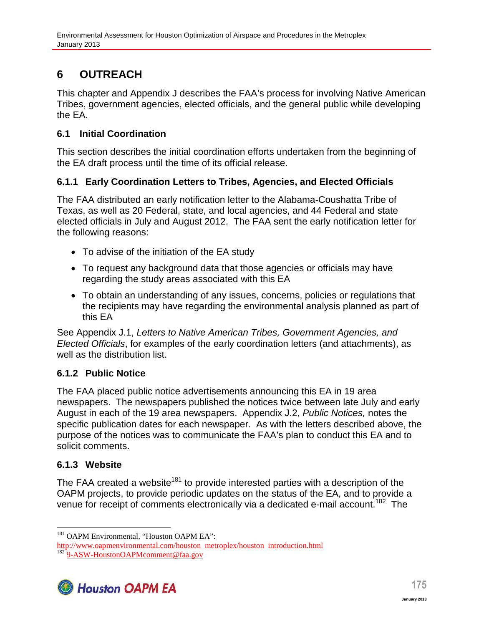# **6 OUTREACH**

This chapter and Appendix J describes the FAA's process for involving Native American Tribes, government agencies, elected officials, and the general public while developing the EA.

#### **6.1 Initial Coordination**

This section describes the initial coordination efforts undertaken from the beginning of the EA draft process until the time of its official release.

### **6.1.1 Early Coordination Letters to Tribes, Agencies, and Elected Officials**

The FAA distributed an early notification letter to the Alabama-Coushatta Tribe of Texas, as well as 20 Federal, state, and local agencies, and 44 Federal and state elected officials in July and August 2012. The FAA sent the early notification letter for the following reasons:

- To advise of the initiation of the EA study
- To request any background data that those agencies or officials may have regarding the study areas associated with this EA
- To obtain an understanding of any issues, concerns, policies or regulations that the recipients may have regarding the environmental analysis planned as part of this EA

See Appendix J.1, *Letters to Native American Tribes, Government Agencies, and Elected Officials*, for examples of the early coordination letters (and attachments), as well as the distribution list.

# **6.1.2 Public Notice**

The FAA placed public notice advertisements announcing this EA in 19 area newspapers. The newspapers published the notices twice between late July and early August in each of the 19 area newspapers. Appendix J.2, *Public Notices,* notes the specific publication dates for each newspaper. As with the letters described above, the purpose of the notices was to communicate the FAA's plan to conduct this EA and to solicit comments.

# **6.1.3 Website**

The FAA created a website<sup>181</sup> to provide interested parties with a description of the OAPM projects, to provide periodic updates on the status of the EA, and to provide a venue for receipt of comments electronically via a dedicated e-mail account.<sup>182</sup> The

http://www.oapmenvironmental.com/houston metroplex/houston introduction.html <sup>182</sup> 9-ASW-HoustonOAPMcomment@faa.gov



<sup>&</sup>lt;sup>181</sup> OAPM Environmental, "Houston OAPM EA":